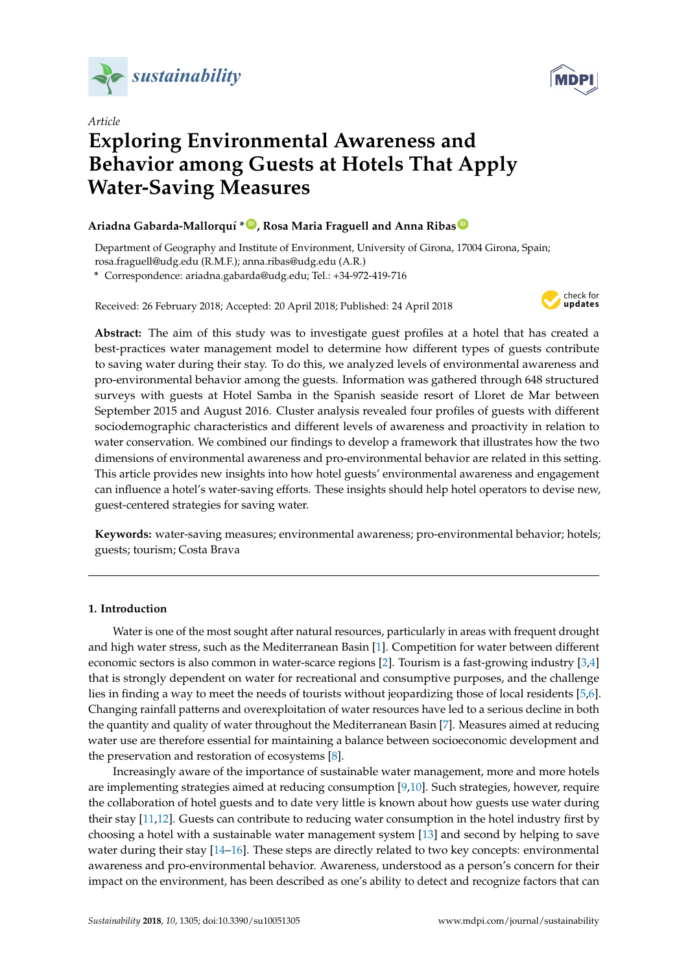



# *Article* **Exploring Environmental Awareness and Behavior among Guests at Hotels That Apply Water-Saving Measures**

## **Ariadna Gabarda-Mallorquí \* [ID](https://orcid.org/0000-0001-8817-5355) , Rosa Maria Fraguell and Anna Ribas [ID](https://orcid.org/0000-0001-5163-0561)**

Department of Geography and Institute of Environment, University of Girona, 17004 Girona, Spain; rosa.fraguell@udg.edu (R.M.F.); anna.ribas@udg.edu (A.R.)

**\*** Correspondence: ariadna.gabarda@udg.edu; Tel.: +34-972-419-716

Received: 26 February 2018; Accepted: 20 April 2018; Published: 24 April 2018



**Abstract:** The aim of this study was to investigate guest profiles at a hotel that has created a best-practices water management model to determine how different types of guests contribute to saving water during their stay. To do this, we analyzed levels of environmental awareness and pro-environmental behavior among the guests. Information was gathered through 648 structured surveys with guests at Hotel Samba in the Spanish seaside resort of Lloret de Mar between September 2015 and August 2016. Cluster analysis revealed four profiles of guests with different sociodemographic characteristics and different levels of awareness and proactivity in relation to water conservation. We combined our findings to develop a framework that illustrates how the two dimensions of environmental awareness and pro-environmental behavior are related in this setting. This article provides new insights into how hotel guests' environmental awareness and engagement can influence a hotel's water-saving efforts. These insights should help hotel operators to devise new, guest-centered strategies for saving water.

**Keywords:** water-saving measures; environmental awareness; pro-environmental behavior; hotels; guests; tourism; Costa Brava

#### <span id="page-0-0"></span>**1. Introduction**

Water is one of the most sought after natural resources, particularly in areas with frequent drought and high water stress, such as the Mediterranean Basin [\[1\]](#page-12-0). Competition for water between different economic sectors is also common in water-scarce regions [\[2\]](#page-12-1). Tourism is a fast-growing industry [\[3](#page-12-2)[,4\]](#page-12-3) that is strongly dependent on water for recreational and consumptive purposes, and the challenge lies in finding a way to meet the needs of tourists without jeopardizing those of local residents [\[5,](#page-12-4)[6\]](#page-12-5). Changing rainfall patterns and overexploitation of water resources have led to a serious decline in both the quantity and quality of water throughout the Mediterranean Basin [\[7\]](#page-12-6). Measures aimed at reducing water use are therefore essential for maintaining a balance between socioeconomic development and the preservation and restoration of ecosystems [\[8\]](#page-12-7).

Increasingly aware of the importance of sustainable water management, more and more hotels are implementing strategies aimed at reducing consumption [\[9](#page-12-8)[,10\]](#page-12-9). Such strategies, however, require the collaboration of hotel guests and to date very little is known about how guests use water during their stay [\[11,](#page-12-10)[12\]](#page-12-11). Guests can contribute to reducing water consumption in the hotel industry first by choosing a hotel with a sustainable water management system [\[13\]](#page-12-12) and second by helping to save water during their stay [\[14–](#page-12-13)[16\]](#page-12-14). These steps are directly related to two key concepts: environmental awareness and pro-environmental behavior. Awareness, understood as a person's concern for their impact on the environment, has been described as one's ability to detect and recognize factors that can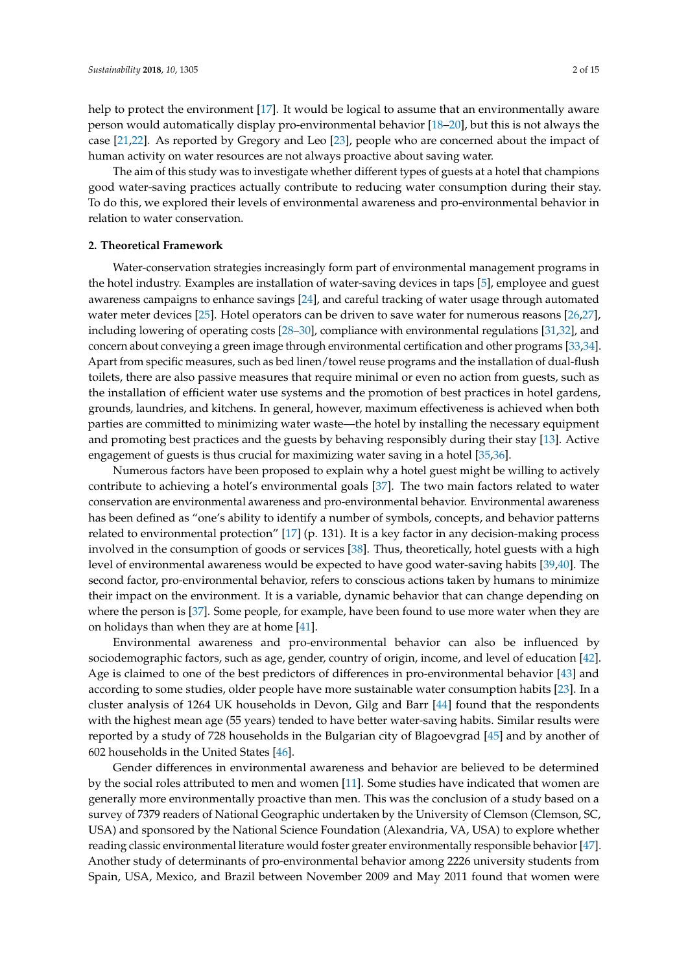help to protect the environment [\[17\]](#page-13-0). It would be logical to assume that an environmentally aware person would automatically display pro-environmental behavior [\[18–](#page-13-1)[20\]](#page-13-2), but this is not always the case [\[21,](#page-13-3)[22\]](#page-13-4). As reported by Gregory and Leo [\[23\]](#page-13-5), people who are concerned about the impact of human activity on water resources are not always proactive about saving water.

The aim of this study was to investigate whether different types of guests at a hotel that champions good water-saving practices actually contribute to reducing water consumption during their stay. To do this, we explored their levels of environmental awareness and pro-environmental behavior in relation to water conservation.

#### <span id="page-1-0"></span>**2. Theoretical Framework**

Water-conservation strategies increasingly form part of environmental management programs in the hotel industry. Examples are installation of water-saving devices in taps [\[5\]](#page-12-4), employee and guest awareness campaigns to enhance savings [\[24\]](#page-13-6), and careful tracking of water usage through automated water meter devices [\[25\]](#page-13-7). Hotel operators can be driven to save water for numerous reasons [\[26,](#page-13-8)[27\]](#page-13-9), including lowering of operating costs [\[28](#page-13-10)[–30\]](#page-13-11), compliance with environmental regulations [\[31,](#page-13-12)[32\]](#page-13-13), and concern about conveying a green image through environmental certification and other programs [\[33](#page-13-14)[,34\]](#page-13-15). Apart from specific measures, such as bed linen/towel reuse programs and the installation of dual-flush toilets, there are also passive measures that require minimal or even no action from guests, such as the installation of efficient water use systems and the promotion of best practices in hotel gardens, grounds, laundries, and kitchens. In general, however, maximum effectiveness is achieved when both parties are committed to minimizing water waste—the hotel by installing the necessary equipment and promoting best practices and the guests by behaving responsibly during their stay [\[13\]](#page-12-12). Active engagement of guests is thus crucial for maximizing water saving in a hotel [\[35](#page-13-16)[,36\]](#page-13-17).

Numerous factors have been proposed to explain why a hotel guest might be willing to actively contribute to achieving a hotel's environmental goals [\[37\]](#page-13-18). The two main factors related to water conservation are environmental awareness and pro-environmental behavior. Environmental awareness has been defined as "one's ability to identify a number of symbols, concepts, and behavior patterns related to environmental protection" [\[17\]](#page-13-0) (p. 131). It is a key factor in any decision-making process involved in the consumption of goods or services [\[38\]](#page-13-19). Thus, theoretically, hotel guests with a high level of environmental awareness would be expected to have good water-saving habits [\[39](#page-13-20)[,40\]](#page-13-21). The second factor, pro-environmental behavior, refers to conscious actions taken by humans to minimize their impact on the environment. It is a variable, dynamic behavior that can change depending on where the person is [\[37\]](#page-13-18). Some people, for example, have been found to use more water when they are on holidays than when they are at home [\[41\]](#page-14-0).

Environmental awareness and pro-environmental behavior can also be influenced by sociodemographic factors, such as age, gender, country of origin, income, and level of education [\[42\]](#page-14-1). Age is claimed to one of the best predictors of differences in pro-environmental behavior [\[43\]](#page-14-2) and according to some studies, older people have more sustainable water consumption habits [\[23\]](#page-13-5). In a cluster analysis of 1264 UK households in Devon, Gilg and Barr [\[44\]](#page-14-3) found that the respondents with the highest mean age (55 years) tended to have better water-saving habits. Similar results were reported by a study of 728 households in the Bulgarian city of Blagoevgrad [\[45\]](#page-14-4) and by another of 602 households in the United States [\[46\]](#page-14-5).

Gender differences in environmental awareness and behavior are believed to be determined by the social roles attributed to men and women [\[11\]](#page-12-10). Some studies have indicated that women are generally more environmentally proactive than men. This was the conclusion of a study based on a survey of 7379 readers of National Geographic undertaken by the University of Clemson (Clemson, SC, USA) and sponsored by the National Science Foundation (Alexandria, VA, USA) to explore whether reading classic environmental literature would foster greater environmentally responsible behavior [\[47\]](#page-14-6). Another study of determinants of pro-environmental behavior among 2226 university students from Spain, USA, Mexico, and Brazil between November 2009 and May 2011 found that women were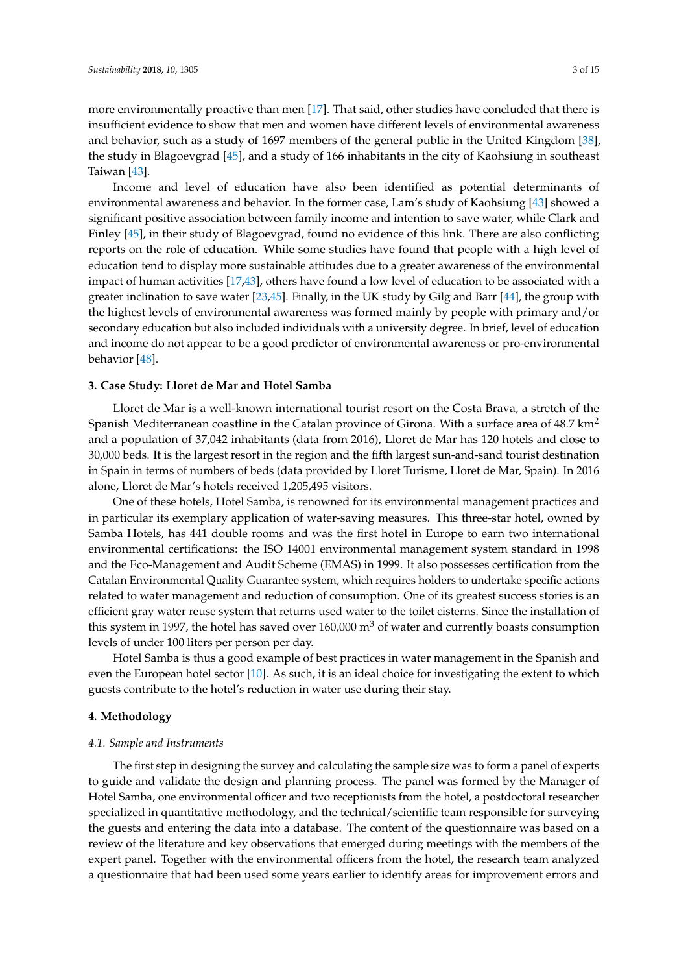more environmentally proactive than men [\[17\]](#page-13-0). That said, other studies have concluded that there is insufficient evidence to show that men and women have different levels of environmental awareness and behavior, such as a study of 1697 members of the general public in the United Kingdom [\[38\]](#page-13-19), the study in Blagoevgrad [\[45\]](#page-14-4), and a study of 166 inhabitants in the city of Kaohsiung in southeast Taiwan [\[43\]](#page-14-2).

Income and level of education have also been identified as potential determinants of environmental awareness and behavior. In the former case, Lam's study of Kaohsiung [\[43\]](#page-14-2) showed a significant positive association between family income and intention to save water, while Clark and Finley [\[45\]](#page-14-4), in their study of Blagoevgrad, found no evidence of this link. There are also conflicting reports on the role of education. While some studies have found that people with a high level of education tend to display more sustainable attitudes due to a greater awareness of the environmental impact of human activities [\[17,](#page-13-0)[43\]](#page-14-2), others have found a low level of education to be associated with a greater inclination to save water [\[23](#page-13-5)[,45\]](#page-14-4). Finally, in the UK study by Gilg and Barr [\[44\]](#page-14-3), the group with the highest levels of environmental awareness was formed mainly by people with primary and/or secondary education but also included individuals with a university degree. In brief, level of education and income do not appear to be a good predictor of environmental awareness or pro-environmental behavior [\[48\]](#page-14-7).

#### <span id="page-2-0"></span>**3. Case Study: Lloret de Mar and Hotel Samba**

Lloret de Mar is a well-known international tourist resort on the Costa Brava, a stretch of the Spanish Mediterranean coastline in the Catalan province of Girona. With a surface area of 48.7 km<sup>2</sup> and a population of 37,042 inhabitants (data from 2016), Lloret de Mar has 120 hotels and close to 30,000 beds. It is the largest resort in the region and the fifth largest sun-and-sand tourist destination in Spain in terms of numbers of beds (data provided by Lloret Turisme, Lloret de Mar, Spain). In 2016 alone, Lloret de Mar's hotels received 1,205,495 visitors.

One of these hotels, Hotel Samba, is renowned for its environmental management practices and in particular its exemplary application of water-saving measures. This three-star hotel, owned by Samba Hotels, has 441 double rooms and was the first hotel in Europe to earn two international environmental certifications: the ISO 14001 environmental management system standard in 1998 and the Eco-Management and Audit Scheme (EMAS) in 1999. It also possesses certification from the Catalan Environmental Quality Guarantee system, which requires holders to undertake specific actions related to water management and reduction of consumption. One of its greatest success stories is an efficient gray water reuse system that returns used water to the toilet cisterns. Since the installation of this system in 1997, the hotel has saved over  $160,000$  m<sup>3</sup> of water and currently boasts consumption levels of under 100 liters per person per day.

Hotel Samba is thus a good example of best practices in water management in the Spanish and even the European hotel sector [\[10\]](#page-12-9). As such, it is an ideal choice for investigating the extent to which guests contribute to the hotel's reduction in water use during their stay.

#### <span id="page-2-1"></span>**4. Methodology**

#### *4.1. Sample and Instruments*

The first step in designing the survey and calculating the sample size was to form a panel of experts to guide and validate the design and planning process. The panel was formed by the Manager of Hotel Samba, one environmental officer and two receptionists from the hotel, a postdoctoral researcher specialized in quantitative methodology, and the technical/scientific team responsible for surveying the guests and entering the data into a database. The content of the questionnaire was based on a review of the literature and key observations that emerged during meetings with the members of the expert panel. Together with the environmental officers from the hotel, the research team analyzed a questionnaire that had been used some years earlier to identify areas for improvement errors and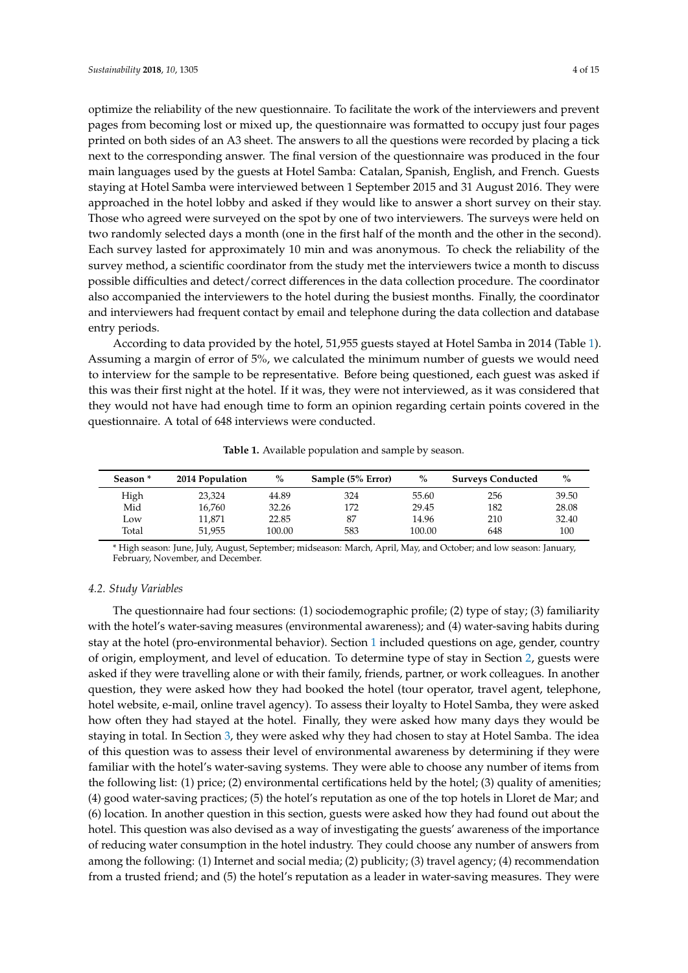optimize the reliability of the new questionnaire. To facilitate the work of the interviewers and prevent pages from becoming lost or mixed up, the questionnaire was formatted to occupy just four pages printed on both sides of an A3 sheet. The answers to all the questions were recorded by placing a tick next to the corresponding answer. The final version of the questionnaire was produced in the four main languages used by the guests at Hotel Samba: Catalan, Spanish, English, and French. Guests staying at Hotel Samba were interviewed between 1 September 2015 and 31 August 2016. They were approached in the hotel lobby and asked if they would like to answer a short survey on their stay. Those who agreed were surveyed on the spot by one of two interviewers. The surveys were held on two randomly selected days a month (one in the first half of the month and the other in the second). Each survey lasted for approximately 10 min and was anonymous. To check the reliability of the survey method, a scientific coordinator from the study met the interviewers twice a month to discuss possible difficulties and detect/correct differences in the data collection procedure. The coordinator also accompanied the interviewers to the hotel during the busiest months. Finally, the coordinator and interviewers had frequent contact by email and telephone during the data collection and database entry periods.

According to data provided by the hotel, 51,955 guests stayed at Hotel Samba in 2014 (Table [1\)](#page-3-0). Assuming a margin of error of 5%, we calculated the minimum number of guests we would need to interview for the sample to be representative. Before being questioned, each guest was asked if this was their first night at the hotel. If it was, they were not interviewed, as it was considered that they would not have had enough time to form an opinion regarding certain points covered in the questionnaire. A total of 648 interviews were conducted.

<span id="page-3-0"></span>

| Season <sup>*</sup> | 2014 Population | $\%$   | Sample (5% Error) | $\%$   | <b>Surveys Conducted</b> | $\%$  |
|---------------------|-----------------|--------|-------------------|--------|--------------------------|-------|
| High                | 23,324          | 44.89  | 324               | 55.60  | 256                      | 39.50 |
| Mid                 | 16.760          | 32.26  | 172               | 29.45  | 182                      | 28.08 |
| Low                 | 11.871          | 22.85  | 87                | 14.96  | 210                      | 32.40 |
| Total               | 51.955          | 100.00 | 583               | 100.00 | 648                      | 100   |

**Table 1.** Available population and sample by season.

\* High season: June, July, August, September; midseason: March, April, May, and October; and low season: January, February, November, and December.

#### *4.2. Study Variables*

The questionnaire had four sections: (1) sociodemographic profile; (2) type of stay; (3) familiarity with the hotel's water-saving measures (environmental awareness); and (4) water-saving habits during stay at the hotel (pro-environmental behavior). Section [1](#page-0-0) included questions on age, gender, country of origin, employment, and level of education. To determine type of stay in Section [2,](#page-1-0) guests were asked if they were travelling alone or with their family, friends, partner, or work colleagues. In another question, they were asked how they had booked the hotel (tour operator, travel agent, telephone, hotel website, e-mail, online travel agency). To assess their loyalty to Hotel Samba, they were asked how often they had stayed at the hotel. Finally, they were asked how many days they would be staying in total. In Section [3,](#page-2-0) they were asked why they had chosen to stay at Hotel Samba. The idea of this question was to assess their level of environmental awareness by determining if they were familiar with the hotel's water-saving systems. They were able to choose any number of items from the following list: (1) price; (2) environmental certifications held by the hotel; (3) quality of amenities; (4) good water-saving practices; (5) the hotel's reputation as one of the top hotels in Lloret de Mar; and (6) location. In another question in this section, guests were asked how they had found out about the hotel. This question was also devised as a way of investigating the guests' awareness of the importance of reducing water consumption in the hotel industry. They could choose any number of answers from among the following: (1) Internet and social media; (2) publicity; (3) travel agency; (4) recommendation from a trusted friend; and (5) the hotel's reputation as a leader in water-saving measures. They were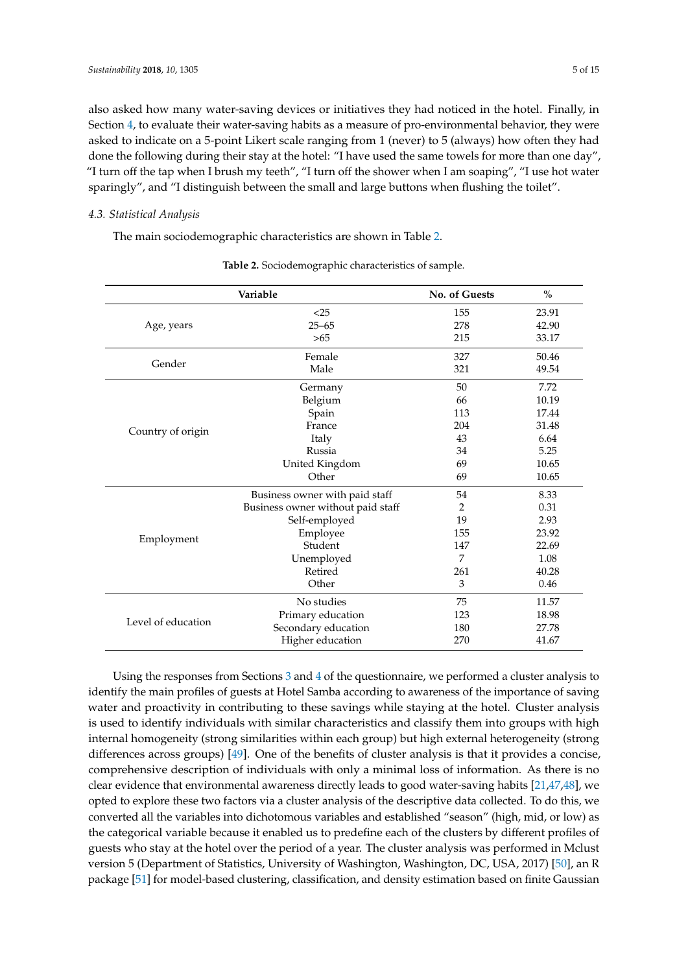also asked how many water-saving devices or initiatives they had noticed in the hotel. Finally, in Section [4,](#page-2-1) to evaluate their water-saving habits as a measure of pro-environmental behavior, they were asked to indicate on a 5-point Likert scale ranging from 1 (never) to 5 (always) how often they had done the following during their stay at the hotel: "I have used the same towels for more than one day", "I turn off the tap when I brush my teeth", "I turn off the shower when I am soaping", "I use hot water sparingly", and "I distinguish between the small and large buttons when flushing the toilet".

#### *4.3. Statistical Analysis*

<span id="page-4-0"></span>The main sociodemographic characteristics are shown in Table [2.](#page-4-0)

|                    | Variable                          | No. of Guests   | $\%$  |
|--------------------|-----------------------------------|-----------------|-------|
|                    | $<$ 25                            | 155             | 23.91 |
| Age, years         | $25 - 65$                         | 278             | 42.90 |
|                    | >65                               | 215             | 33.17 |
|                    | Female                            | 327             | 50.46 |
| Gender             | Male                              | 321             | 49.54 |
|                    | Germany                           | 50              | 7.72  |
|                    | Belgium                           | 66              | 10.19 |
|                    | Spain                             | 113             | 17.44 |
|                    | France                            | 204             | 31.48 |
| Country of origin  | Italy                             | 43              | 6.64  |
|                    | Russia                            | 34              | 5.25  |
|                    | United Kingdom                    | 69              | 10.65 |
|                    | Other                             | 69              | 10.65 |
|                    | Business owner with paid staff    | 54              | 8.33  |
|                    | Business owner without paid staff | $\overline{2}$  | 0.31  |
|                    | Self-employed                     | 19              | 2.93  |
|                    |                                   | Employee<br>155 | 23.92 |
| Employment         | Student                           | 147             | 22.69 |
|                    | Unemployed                        | 7               | 1.08  |
|                    | Retired                           | 261             | 40.28 |
|                    | Other                             | 3               | 0.46  |
|                    | No studies                        | 75              | 11.57 |
|                    | Primary education                 | 123             | 18.98 |
| Level of education | Secondary education               | 180             | 27.78 |
|                    | Higher education                  | 270             | 41.67 |

**Table 2.** Sociodemographic characteristics of sample.

Using the responses from Sections [3](#page-2-0) and [4](#page-2-1) of the questionnaire, we performed a cluster analysis to identify the main profiles of guests at Hotel Samba according to awareness of the importance of saving water and proactivity in contributing to these savings while staying at the hotel. Cluster analysis is used to identify individuals with similar characteristics and classify them into groups with high internal homogeneity (strong similarities within each group) but high external heterogeneity (strong differences across groups) [\[49\]](#page-14-8). One of the benefits of cluster analysis is that it provides a concise, comprehensive description of individuals with only a minimal loss of information. As there is no clear evidence that environmental awareness directly leads to good water-saving habits [\[21,](#page-13-3)[47,](#page-14-6)[48\]](#page-14-7), we opted to explore these two factors via a cluster analysis of the descriptive data collected. To do this, we converted all the variables into dichotomous variables and established "season" (high, mid, or low) as the categorical variable because it enabled us to predefine each of the clusters by different profiles of guests who stay at the hotel over the period of a year. The cluster analysis was performed in Mclust version 5 (Department of Statistics, University of Washington, Washington, DC, USA, 2017) [\[50\]](#page-14-9), an R package [\[51\]](#page-14-10) for model-based clustering, classification, and density estimation based on finite Gaussian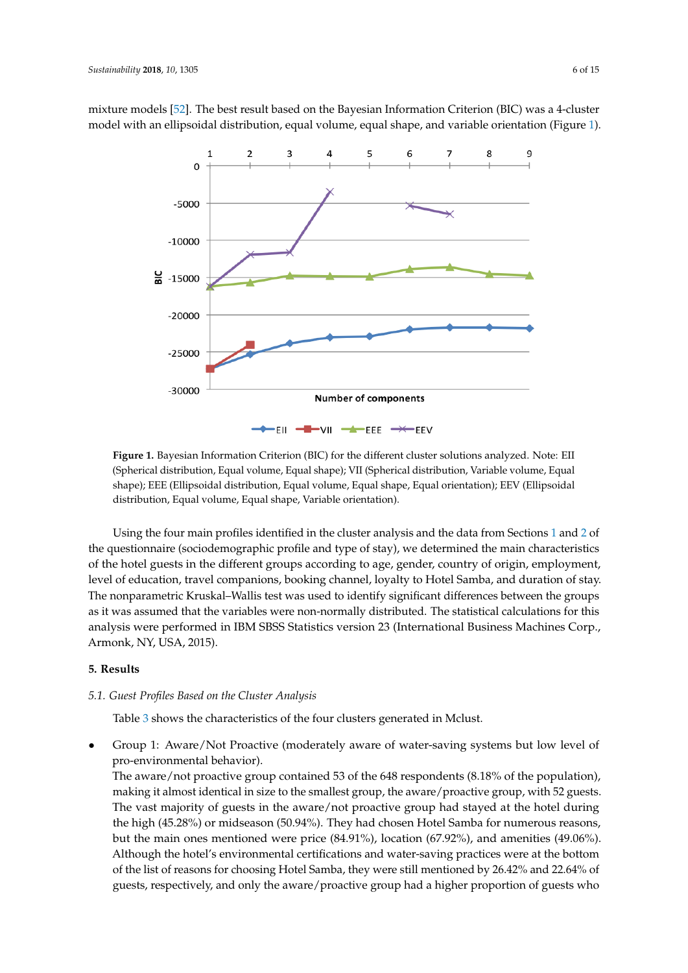<span id="page-5-0"></span>mixture models [\[52\]](#page-14-11). The best result based on the Bayesian Information Criterion (BIC) was a 4-cluster model with an ellipsoidal distribution, equal volume, equal shape, and variable orientation (Figure [1\)](#page-5-0).



**Figure 1.** Bayesian Information Criterion (BIC) for the different cluster solutions analyzed. Note: EII **Figure 1.** Bayesian Information Criterion (BIC) for the different cluster solutions analyzed. Note: EII (Spherical distribution, Equal volume, Equal shape); VII (Spherical distribution, Variable volume, (Spherical distribution, Equal volume, Equal shape); VII (Spherical distribution, Variable volume, Equal shape); EEE (Ellipsoidal distribution, Equal volume, Equal shape, Equal orientation); EEV (Ellipsoidal distribution, Equal volume, Equal shape, Variable orientation).

Using the four main profiles identified in the cluster analysis and the data from Secti[ons](#page-0-0) 1 a[nd](#page-1-0) 2 Using the four main profiles identified in the cluster analysis and the data from Sections 1 and 2 of the questionnaire (sociodemographic profile and type of stay), we determined the main characteristics of the hotel guests in the different groups according to age, gender, country of origin, employment, level of education, travel companions, booking channel, loyalty to Hotel Samba, and duration of stay. The nonparametric Kruskal–Wallis test was used to identify significant differences between the groups as it was assumed that the variables were non-normally distributed. The statistical calculations for this analysis were performed in IBM SBSS Statistics version 23 (International Business Machines Corp., Armonk, NY, USA, 2015).

## **5. Results 5. Results**

## *5.1. Guest Profiles Based on the Cluster Analysis 5.1. Guest Profiles Based on the Cluster Analysis*

Tabl[e 3](#page-7-0) shows the characteristics of the four clusters generated in Mclust. Table 3 shows the characteristics of the four clusters generated in Mclust.

**•** Group 1: Aware/Not Proactive (moderately aware of water-saving systems but low level of pro-environmental behavior).

**Group 1 Autrece Proactive Proactive Aware/Proactive Aware/Proactive** making it almost identical in size to the smallest group, the aware/proactive group, with 52 guests.  $640$ the 648 respondents (8.18% of the populat **Not**  The aware/not proactive group contained 53 of the 648 respondents (8.18% of the population), **53 (8.18%) 351 (54.17%) 52 (8.02%) 192 (29.63%)** The vast majority of guests in the aware/not proactive group had stayed at the hotel during the high (45.28%) or midseason (50.94%). They had chosen Hotel Samba for numerous reasons, but the main ones mentioned were price (84.91%), location (67.92%), and amenities (49.06%).  $\frac{1}{2}$   $\frac{1}{2}$   $\frac{1}{2}$   $\frac{1}{2}$   $\frac{1}{2}$   $\frac{1}{2}$   $\frac{1}{2}$   $\frac{1}{2}$   $\frac{1}{2}$   $\frac{1}{2}$   $\frac{1}{2}$   $\frac{1}{2}$   $\frac{1}{2}$   $\frac{1}{2}$   $\frac{1}{2}$   $\frac{1}{2}$   $\frac{1}{2}$   $\frac{1}{2}$   $\frac{1}{2}$   $\frac{1}{2}$   $\frac{1}{2}$   $\frac{1}{2}$  Although the hotel's environmental certifications and water-saving practices were at the bottom of the list of reasons for choosing Hotel Samba, they were still mentioned by 26.42% and 22.64% of guests, respectively, and only the aware/proactive group had a higher proportion of guests who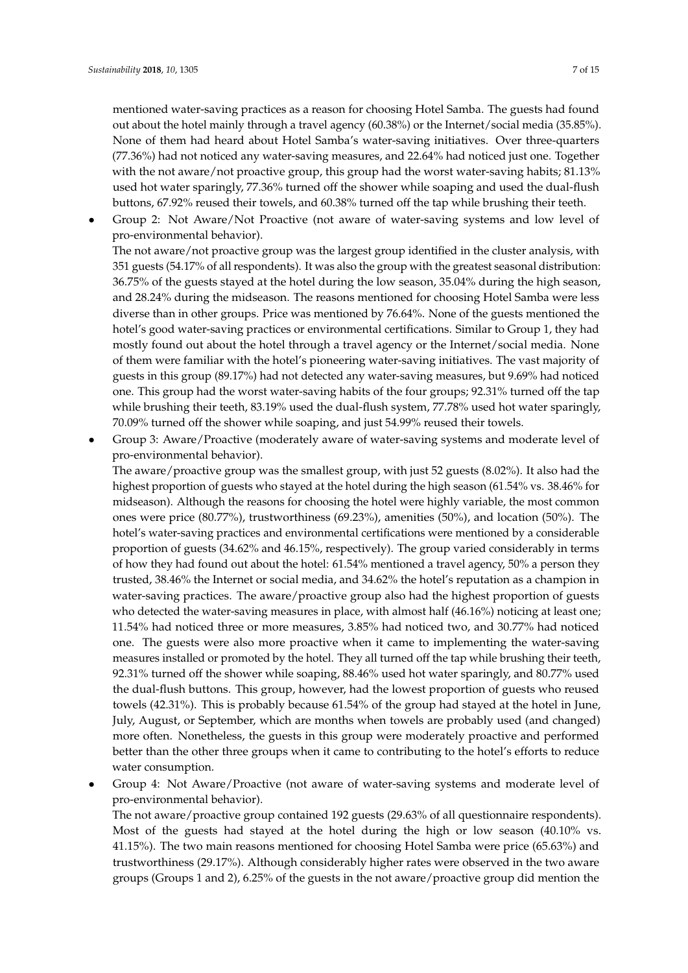mentioned water-saving practices as a reason for choosing Hotel Samba. The guests had found out about the hotel mainly through a travel agency (60.38%) or the Internet/social media (35.85%). None of them had heard about Hotel Samba's water-saving initiatives. Over three-quarters (77.36%) had not noticed any water-saving measures, and 22.64% had noticed just one. Together with the not aware/not proactive group, this group had the worst water-saving habits; 81.13% used hot water sparingly, 77.36% turned off the shower while soaping and used the dual-flush buttons, 67.92% reused their towels, and 60.38% turned off the tap while brushing their teeth.

• Group 2: Not Aware/Not Proactive (not aware of water-saving systems and low level of pro-environmental behavior).

The not aware/not proactive group was the largest group identified in the cluster analysis, with 351 guests (54.17% of all respondents). It was also the group with the greatest seasonal distribution: 36.75% of the guests stayed at the hotel during the low season, 35.04% during the high season, and 28.24% during the midseason. The reasons mentioned for choosing Hotel Samba were less diverse than in other groups. Price was mentioned by 76.64%. None of the guests mentioned the hotel's good water-saving practices or environmental certifications. Similar to Group 1, they had mostly found out about the hotel through a travel agency or the Internet/social media. None of them were familiar with the hotel's pioneering water-saving initiatives. The vast majority of guests in this group (89.17%) had not detected any water-saving measures, but 9.69% had noticed one. This group had the worst water-saving habits of the four groups; 92.31% turned off the tap while brushing their teeth, 83.19% used the dual-flush system, 77.78% used hot water sparingly, 70.09% turned off the shower while soaping, and just 54.99% reused their towels.

- Group 3: Aware/Proactive (moderately aware of water-saving systems and moderate level of pro-environmental behavior).
	- The aware/proactive group was the smallest group, with just 52 guests (8.02%). It also had the highest proportion of guests who stayed at the hotel during the high season (61.54% vs. 38.46% for midseason). Although the reasons for choosing the hotel were highly variable, the most common ones were price (80.77%), trustworthiness (69.23%), amenities (50%), and location (50%). The hotel's water-saving practices and environmental certifications were mentioned by a considerable proportion of guests (34.62% and 46.15%, respectively). The group varied considerably in terms of how they had found out about the hotel: 61.54% mentioned a travel agency, 50% a person they trusted, 38.46% the Internet or social media, and 34.62% the hotel's reputation as a champion in water-saving practices. The aware/proactive group also had the highest proportion of guests who detected the water-saving measures in place, with almost half (46.16%) noticing at least one; 11.54% had noticed three or more measures, 3.85% had noticed two, and 30.77% had noticed one. The guests were also more proactive when it came to implementing the water-saving measures installed or promoted by the hotel. They all turned off the tap while brushing their teeth, 92.31% turned off the shower while soaping, 88.46% used hot water sparingly, and 80.77% used the dual-flush buttons. This group, however, had the lowest proportion of guests who reused towels (42.31%). This is probably because 61.54% of the group had stayed at the hotel in June, July, August, or September, which are months when towels are probably used (and changed) more often. Nonetheless, the guests in this group were moderately proactive and performed better than the other three groups when it came to contributing to the hotel's efforts to reduce water consumption.
- Group 4: Not Aware/Proactive (not aware of water-saving systems and moderate level of pro-environmental behavior).

The not aware/proactive group contained 192 guests (29.63% of all questionnaire respondents). Most of the guests had stayed at the hotel during the high or low season (40.10% vs. 41.15%). The two main reasons mentioned for choosing Hotel Samba were price (65.63%) and trustworthiness (29.17%). Although considerably higher rates were observed in the two aware groups (Groups 1 and 2), 6.25% of the guests in the not aware/proactive group did mention the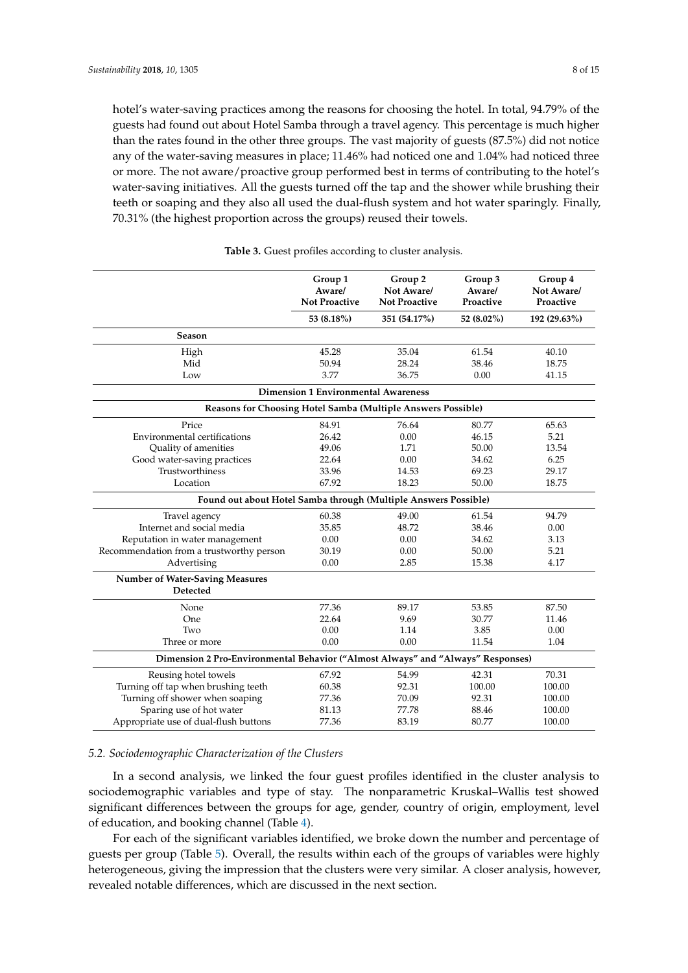hotel's water-saving practices among the reasons for choosing the hotel. In total, 94.79% of the guests had found out about Hotel Samba through a travel agency. This percentage is much higher than the rates found in the other three groups. The vast majority of guests (87.5%) did not notice any of the water-saving measures in place; 11.46% had noticed one and 1.04% had noticed three or more. The not aware/proactive group performed best in terms of contributing to the hotel's water-saving initiatives. All the guests turned off the tap and the shower while brushing their teeth or soaping and they also all used the dual-flush system and hot water sparingly. Finally, 70.31% (the highest proportion across the groups) reused their towels.

<span id="page-7-0"></span>

|                                                                                 | Group 1<br>Aware/<br><b>Not Proactive</b>  | Group 2<br>Not Aware/<br><b>Not Proactive</b> | Group 3<br>Aware/<br>Proactive | Group 4<br>Not Aware/<br>Proactive |  |  |
|---------------------------------------------------------------------------------|--------------------------------------------|-----------------------------------------------|--------------------------------|------------------------------------|--|--|
|                                                                                 | 53 (8.18%)                                 | 351 (54.17%)                                  | 52 (8.02%)                     | 192 (29.63%)                       |  |  |
| Season                                                                          |                                            |                                               |                                |                                    |  |  |
| High                                                                            | 45.28                                      | 35.04                                         | 61.54                          | 40.10                              |  |  |
| Mid                                                                             | 50.94                                      | 28.24                                         | 38.46                          | 18.75                              |  |  |
| Low                                                                             | 3.77                                       | 36.75                                         | 0.00                           | 41.15                              |  |  |
|                                                                                 | <b>Dimension 1 Environmental Awareness</b> |                                               |                                |                                    |  |  |
| Reasons for Choosing Hotel Samba (Multiple Answers Possible)                    |                                            |                                               |                                |                                    |  |  |
| Price                                                                           | 84.91                                      | 76.64                                         | 80.77                          | 65.63                              |  |  |
| Environmental certifications                                                    | 26.42                                      | 0.00                                          | 46.15                          | 5.21                               |  |  |
| Quality of amenities                                                            | 49.06                                      | 1.71                                          | 50.00                          | 13.54                              |  |  |
| Good water-saving practices                                                     | 22.64                                      | 0.00                                          | 34.62                          | 6.25                               |  |  |
| Trustworthiness                                                                 | 33.96                                      | 14.53                                         | 69.23                          | 29.17                              |  |  |
| Location                                                                        | 67.92                                      | 18.23                                         | 50.00                          | 18.75                              |  |  |
| Found out about Hotel Samba through (Multiple Answers Possible)                 |                                            |                                               |                                |                                    |  |  |
| Travel agency                                                                   | 60.38                                      | 49.00                                         | 61.54                          | 94.79                              |  |  |
| Internet and social media                                                       | 35.85                                      | 48.72                                         | 38.46                          | 0.00                               |  |  |
| Reputation in water management                                                  | 0.00                                       | 0.00                                          | 34.62                          | 3.13                               |  |  |
| Recommendation from a trustworthy person                                        | 30.19                                      | 0.00                                          | 50.00                          | 5.21                               |  |  |
| Advertising                                                                     | 0.00                                       | 2.85                                          | 15.38                          | 4.17                               |  |  |
| <b>Number of Water-Saving Measures</b>                                          |                                            |                                               |                                |                                    |  |  |
| <b>Detected</b>                                                                 |                                            |                                               |                                |                                    |  |  |
| None                                                                            | 77.36                                      | 89.17                                         | 53.85                          | 87.50                              |  |  |
| One                                                                             | 22.64                                      | 9.69                                          | 30.77                          | 11.46                              |  |  |
| Two                                                                             | 0.00                                       | 1.14                                          | 3.85                           | 0.00                               |  |  |
| Three or more                                                                   | 0.00                                       | 0.00                                          | 11.54                          | 1.04                               |  |  |
| Dimension 2 Pro-Environmental Behavior ("Almost Always" and "Always" Responses) |                                            |                                               |                                |                                    |  |  |
| Reusing hotel towels                                                            | 67.92                                      | 54.99                                         | 42.31                          | 70.31                              |  |  |
| Turning off tap when brushing teeth                                             | 60.38                                      | 92.31                                         | 100.00                         | 100.00                             |  |  |
| Turning off shower when soaping                                                 | 77.36                                      | 70.09                                         | 92.31                          | 100.00                             |  |  |
| Sparing use of hot water                                                        | 81.13                                      | 77.78                                         | 88.46                          | 100.00                             |  |  |
| Appropriate use of dual-flush buttons                                           | 77.36                                      | 83.19                                         | 80.77                          | 100.00                             |  |  |

### *5.2. Sociodemographic Characterization of the Clusters*

In a second analysis, we linked the four guest profiles identified in the cluster analysis to sociodemographic variables and type of stay. The nonparametric Kruskal–Wallis test showed significant differences between the groups for age, gender, country of origin, employment, level of education, and booking channel (Table [4\)](#page-8-0).

For each of the significant variables identified, we broke down the number and percentage of guests per group (Table [5\)](#page-8-1). Overall, the results within each of the groups of variables were highly heterogeneous, giving the impression that the clusters were very similar. A closer analysis, however, revealed notable differences, which are discussed in the next section.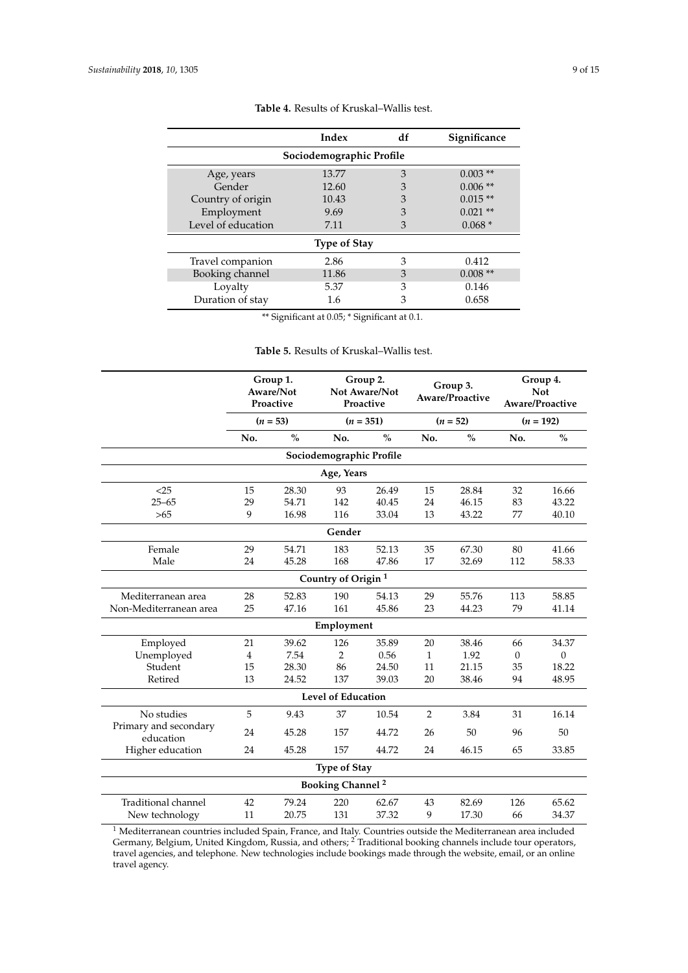<span id="page-8-0"></span>

|                          | Index | df | Significance |  |  |  |
|--------------------------|-------|----|--------------|--|--|--|
| Sociodemographic Profile |       |    |              |  |  |  |
| Age, years               | 13.77 | 3  | $0.003$ **   |  |  |  |
| Gender                   | 12.60 | 3  | $0.006$ **   |  |  |  |
| Country of origin        | 10.43 | 3  | $0.015**$    |  |  |  |
| Employment               | 9.69  | 3  | $0.021$ **   |  |  |  |
| Level of education       | 7.11  | 3  | $0.068*$     |  |  |  |
| <b>Type of Stay</b>      |       |    |              |  |  |  |
| Travel companion         | 2.86  | 3  | 0.412        |  |  |  |
| Booking channel          | 11.86 | 3  | $0.008**$    |  |  |  |
| Loyalty                  | 5.37  | 3  | 0.146        |  |  |  |
| Duration of stay         | 1.6   | 3  | 0.658        |  |  |  |
|                          |       |    |              |  |  |  |

**Table 4.** Results of Kruskal–Wallis test.

\*\* Significant at 0.05; \* Significant at 0.1.

**Table 5.** Results of Kruskal–Wallis test.

<span id="page-8-1"></span>

|                                    | Group 1.<br>Aware/Not<br>Proactive<br>$(n = 53)$ |               | Group 2.<br>Not Aware/Not<br>Proactive<br>$(n = 351)$ |               | Group 3.<br>Aware/Proactive<br>$(n = 52)$ |               | Group 4.<br><b>Not</b><br>Aware/Proactive<br>$(n = 192)$ |               |
|------------------------------------|--------------------------------------------------|---------------|-------------------------------------------------------|---------------|-------------------------------------------|---------------|----------------------------------------------------------|---------------|
|                                    |                                                  |               |                                                       |               |                                           |               |                                                          |               |
|                                    | No.                                              | $\frac{0}{0}$ | No.                                                   | $\frac{0}{0}$ | No.                                       | $\frac{0}{0}$ | No.                                                      | $\frac{0}{0}$ |
|                                    |                                                  |               | Sociodemographic Profile                              |               |                                           |               |                                                          |               |
| Age, Years                         |                                                  |               |                                                       |               |                                           |               |                                                          |               |
| $<$ 25                             | 15                                               | 28.30         | 93                                                    | 26.49         | 15                                        | 28.84         | 32                                                       | 16.66         |
| $25 - 65$                          | 29                                               | 54.71         | 142                                                   | 40.45         | 24                                        | 46.15         | 83                                                       | 43.22         |
| >65                                | 9                                                | 16.98         | 116                                                   | 33.04         | 13                                        | 43.22         | 77                                                       | 40.10         |
|                                    |                                                  |               | Gender                                                |               |                                           |               |                                                          |               |
| Female                             | 29                                               | 54.71         | 183                                                   | 52.13         | 35                                        | 67.30         | 80                                                       | 41.66         |
| Male                               | 24                                               | 45.28         | 168                                                   | 47.86         | 17                                        | 32.69         | 112                                                      | 58.33         |
|                                    |                                                  |               | Country of Origin <sup>1</sup>                        |               |                                           |               |                                                          |               |
| Mediterranean area                 | 28                                               | 52.83         | 190                                                   | 54.13         | 29                                        | 55.76         | 113                                                      | 58.85         |
| Non-Mediterranean area             | 25                                               | 47.16         | 161                                                   | 45.86         | 23                                        | 44.23         | 79                                                       | 41.14         |
| Employment                         |                                                  |               |                                                       |               |                                           |               |                                                          |               |
| Employed                           | 21                                               | 39.62         | 126                                                   | 35.89         | 20                                        | 38.46         | 66                                                       | 34.37         |
| Unemployed                         | $\overline{4}$                                   | 7.54          | $\overline{2}$                                        | 0.56          | $\mathbf{1}$                              | 1.92          | $\theta$                                                 | $\mathbf{0}$  |
| Student                            | 15                                               | 28.30         | 86                                                    | 24.50         | 11                                        | 21.15         | 35                                                       | 18.22         |
| Retired                            | 13                                               | 24.52         | 137                                                   | 39.03         | 20                                        | 38.46         | 94                                                       | 48.95         |
| <b>Level of Education</b>          |                                                  |               |                                                       |               |                                           |               |                                                          |               |
| No studies                         | 5                                                | 9.43          | 37                                                    | 10.54         | $\overline{2}$                            | 3.84          | 31                                                       | 16.14         |
| Primary and secondary<br>education | 24                                               | 45.28         | 157                                                   | 44.72         | 26                                        | 50            | 96                                                       | 50            |
| Higher education                   | 24                                               | 45.28         | 157                                                   | 44.72         | 24                                        | 46.15         | 65                                                       | 33.85         |
| <b>Type of Stay</b>                |                                                  |               |                                                       |               |                                           |               |                                                          |               |
| <b>Booking Channel<sup>2</sup></b> |                                                  |               |                                                       |               |                                           |               |                                                          |               |
| Traditional channel                | 42                                               | 79.24         | 220                                                   | 62.67         | 43                                        | 82.69         | 126                                                      | 65.62         |
| New technology                     | 11                                               | 20.75         | 131                                                   | 37.32         | 9                                         | 17.30         | 66                                                       | 34.37         |

 $^{\rm 1}$  Mediterranean countries included Spain, France, and Italy. Countries outside the Mediterranean area included Germany, Belgium, United Kingdom, Russia, and others;  $^2$  Traditional booking channels include tour operators, travel agencies, and telephone. New technologies include bookings made through the website, email, or an online travel agency.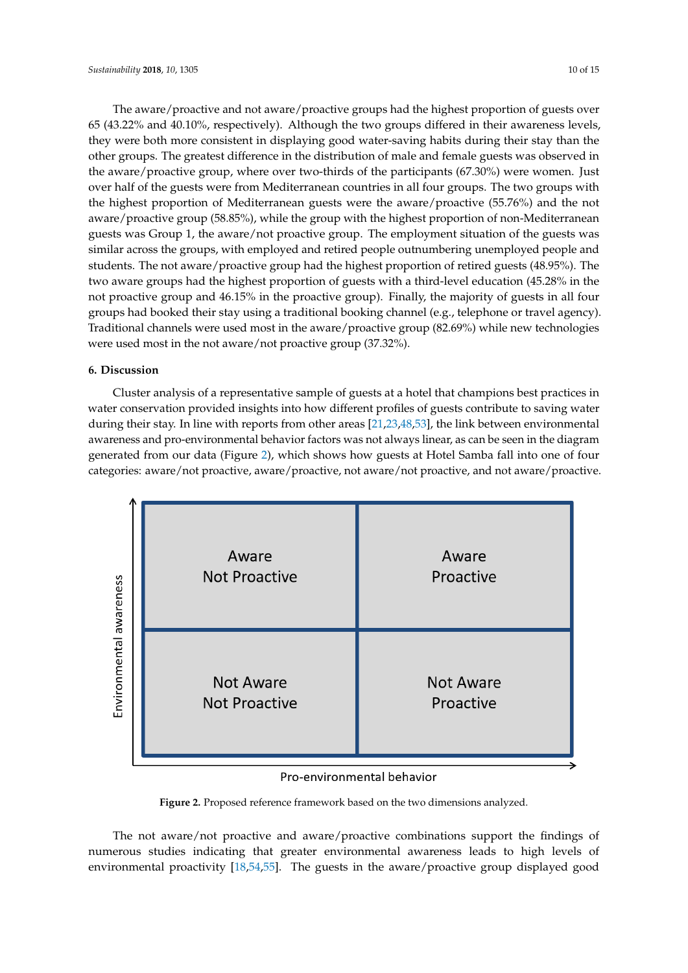The aware/proactive and not aware/proactive groups had the highest proportion of guests over 65 (43.22% and 40.10%, respectively). Although the two groups differed in their awareness levels, they were both more consistent in displaying good water-saving habits during their stay than the other groups. The greatest difference in the distribution of male and female guests was observed in the aware/proactive group, where over two-thirds of the participants (67.30%) were women. Just over half of the guests were from Mediterranean countries in all four groups. The two groups with the highest proportion of Mediterranean guests were the aware/proactive (55.76%) and the not aware/proactive group (58.85%), while the group with the highest proportion of non-Mediterranean guests was Group 1, the aware/not proactive group. The employment situation of the guests was similar across the groups, with employed and retired people outnumbering unemployed people and students. The not aware/proactive group had the highest proportion of retired guests (48.95%). The two aware groups had the highest proportion of guests with a third-level education (45.28% in the not proactive group and 46.15% in the proactive group). Finally, the majority of guests in all four groups had booked their stay using a traditional booking channel (e.g., telephone or travel agency). *Traditional channels were used most in the aware/proactive group (82.69%) while new technologies* were used most in the not aware/not proactive group (37.32%).

#### **6. Discussion** Cluster analysis of a representative sample of guests at a hotel that champions best practices in

Cluster analysis of a representative sample of guests at a hotel that champions best practices in water conservation provided insights into how different profiles of guests contribute to saving water during their stay. In line with reports from other are[as](#page-13-3) [21,23,48,53], the link between environmental awareness and pro-environmental behavior factors was not always linear, as can be seen in the diagram generated from our data (Figure 2), which shows how guests at Hotel Samba fall into one of four categories: aware/not proactive, aware/proactive, not aware/not proactive, and not aware/proactive.

<span id="page-9-0"></span>

## Pro-environmental behavior

**Figure 2.** Proposed reference framework based on the two dimensions analyzed. **Figure 2.** Proposed reference framework based on the two dimensions analyzed.

The not aware/not proactive and aware/proactive combinations support the findings of The not aware/not proactive and aware/proactive combinations support the findings of numerous studies indicating that greater environmental awareness leads to high levels of numerous studies indicating that greater environmental awareness leads to high levels of environmental proactivity [\[18](#page-13-1)[,54](#page-14-13)[,55\]](#page-14-14). The guests in the aware/proactive group displayed good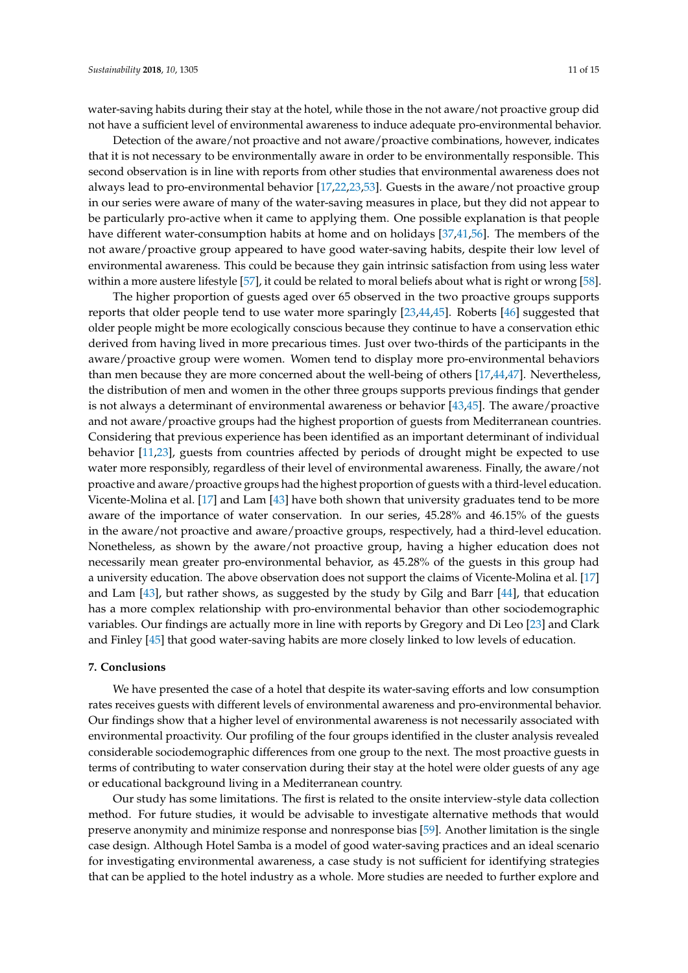water-saving habits during their stay at the hotel, while those in the not aware/not proactive group did not have a sufficient level of environmental awareness to induce adequate pro-environmental behavior.

Detection of the aware/not proactive and not aware/proactive combinations, however, indicates that it is not necessary to be environmentally aware in order to be environmentally responsible. This second observation is in line with reports from other studies that environmental awareness does not always lead to pro-environmental behavior [\[17](#page-13-0)[,22](#page-13-4)[,23](#page-13-5)[,53\]](#page-14-12). Guests in the aware/not proactive group in our series were aware of many of the water-saving measures in place, but they did not appear to be particularly pro-active when it came to applying them. One possible explanation is that people have different water-consumption habits at home and on holidays [\[37](#page-13-18)[,41](#page-14-0)[,56\]](#page-14-15). The members of the not aware/proactive group appeared to have good water-saving habits, despite their low level of environmental awareness. This could be because they gain intrinsic satisfaction from using less water within a more austere lifestyle [\[57\]](#page-14-16), it could be related to moral beliefs about what is right or wrong [\[58\]](#page-14-17).

The higher proportion of guests aged over 65 observed in the two proactive groups supports reports that older people tend to use water more sparingly [\[23](#page-13-5)[,44](#page-14-3)[,45\]](#page-14-4). Roberts [\[46\]](#page-14-5) suggested that older people might be more ecologically conscious because they continue to have a conservation ethic derived from having lived in more precarious times. Just over two-thirds of the participants in the aware/proactive group were women. Women tend to display more pro-environmental behaviors than men because they are more concerned about the well-being of others [\[17](#page-13-0)[,44,](#page-14-3)[47\]](#page-14-6). Nevertheless, the distribution of men and women in the other three groups supports previous findings that gender is not always a determinant of environmental awareness or behavior [\[43,](#page-14-2)[45\]](#page-14-4). The aware/proactive and not aware/proactive groups had the highest proportion of guests from Mediterranean countries. Considering that previous experience has been identified as an important determinant of individual behavior [\[11](#page-12-10)[,23\]](#page-13-5), guests from countries affected by periods of drought might be expected to use water more responsibly, regardless of their level of environmental awareness. Finally, the aware/not proactive and aware/proactive groups had the highest proportion of guests with a third-level education. Vicente-Molina et al. [\[17\]](#page-13-0) and Lam [\[43\]](#page-14-2) have both shown that university graduates tend to be more aware of the importance of water conservation. In our series, 45.28% and 46.15% of the guests in the aware/not proactive and aware/proactive groups, respectively, had a third-level education. Nonetheless, as shown by the aware/not proactive group, having a higher education does not necessarily mean greater pro-environmental behavior, as 45.28% of the guests in this group had a university education. The above observation does not support the claims of Vicente-Molina et al. [\[17\]](#page-13-0) and Lam [\[43\]](#page-14-2), but rather shows, as suggested by the study by Gilg and Barr [\[44\]](#page-14-3), that education has a more complex relationship with pro-environmental behavior than other sociodemographic variables. Our findings are actually more in line with reports by Gregory and Di Leo [\[23\]](#page-13-5) and Clark and Finley [\[45\]](#page-14-4) that good water-saving habits are more closely linked to low levels of education.

#### **7. Conclusions**

We have presented the case of a hotel that despite its water-saving efforts and low consumption rates receives guests with different levels of environmental awareness and pro-environmental behavior. Our findings show that a higher level of environmental awareness is not necessarily associated with environmental proactivity. Our profiling of the four groups identified in the cluster analysis revealed considerable sociodemographic differences from one group to the next. The most proactive guests in terms of contributing to water conservation during their stay at the hotel were older guests of any age or educational background living in a Mediterranean country.

Our study has some limitations. The first is related to the onsite interview-style data collection method. For future studies, it would be advisable to investigate alternative methods that would preserve anonymity and minimize response and nonresponse bias [\[59\]](#page-14-18). Another limitation is the single case design. Although Hotel Samba is a model of good water-saving practices and an ideal scenario for investigating environmental awareness, a case study is not sufficient for identifying strategies that can be applied to the hotel industry as a whole. More studies are needed to further explore and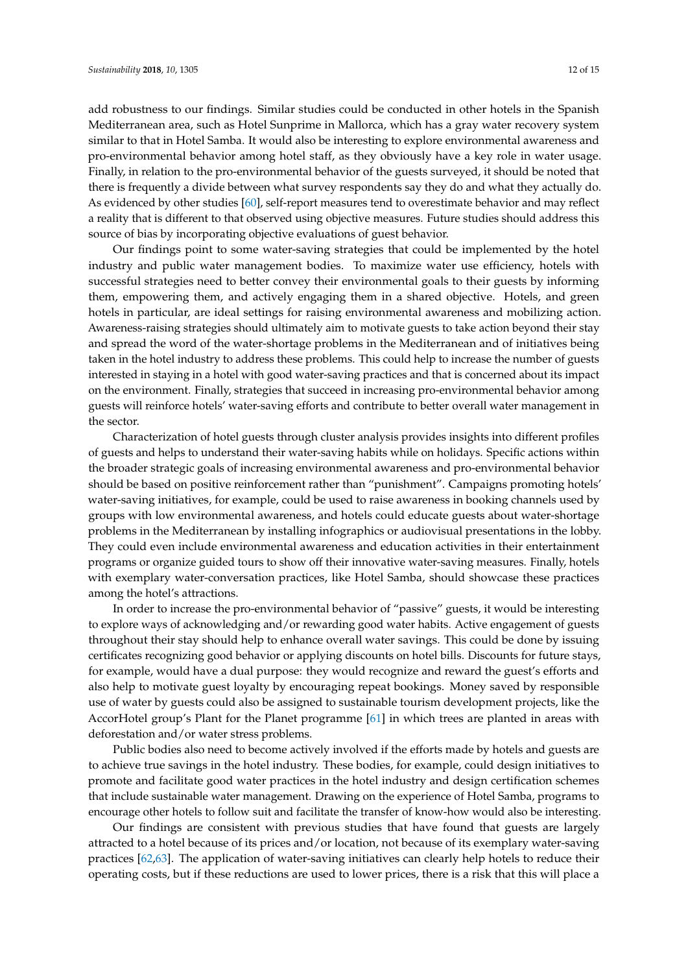similar to that in Hotel Samba. It would also be interesting to explore environmental awareness and pro-environmental behavior among hotel staff, as they obviously have a key role in water usage. Finally, in relation to the pro-environmental behavior of the guests surveyed, it should be noted that there is frequently a divide between what survey respondents say they do and what they actually do. As evidenced by other studies [\[60\]](#page-14-19), self-report measures tend to overestimate behavior and may reflect a reality that is different to that observed using objective measures. Future studies should address this source of bias by incorporating objective evaluations of guest behavior.

Our findings point to some water-saving strategies that could be implemented by the hotel industry and public water management bodies. To maximize water use efficiency, hotels with successful strategies need to better convey their environmental goals to their guests by informing them, empowering them, and actively engaging them in a shared objective. Hotels, and green hotels in particular, are ideal settings for raising environmental awareness and mobilizing action. Awareness-raising strategies should ultimately aim to motivate guests to take action beyond their stay and spread the word of the water-shortage problems in the Mediterranean and of initiatives being taken in the hotel industry to address these problems. This could help to increase the number of guests interested in staying in a hotel with good water-saving practices and that is concerned about its impact on the environment. Finally, strategies that succeed in increasing pro-environmental behavior among guests will reinforce hotels' water-saving efforts and contribute to better overall water management in the sector.

Characterization of hotel guests through cluster analysis provides insights into different profiles of guests and helps to understand their water-saving habits while on holidays. Specific actions within the broader strategic goals of increasing environmental awareness and pro-environmental behavior should be based on positive reinforcement rather than "punishment". Campaigns promoting hotels' water-saving initiatives, for example, could be used to raise awareness in booking channels used by groups with low environmental awareness, and hotels could educate guests about water-shortage problems in the Mediterranean by installing infographics or audiovisual presentations in the lobby. They could even include environmental awareness and education activities in their entertainment programs or organize guided tours to show off their innovative water-saving measures. Finally, hotels with exemplary water-conversation practices, like Hotel Samba, should showcase these practices among the hotel's attractions.

In order to increase the pro-environmental behavior of "passive" guests, it would be interesting to explore ways of acknowledging and/or rewarding good water habits. Active engagement of guests throughout their stay should help to enhance overall water savings. This could be done by issuing certificates recognizing good behavior or applying discounts on hotel bills. Discounts for future stays, for example, would have a dual purpose: they would recognize and reward the guest's efforts and also help to motivate guest loyalty by encouraging repeat bookings. Money saved by responsible use of water by guests could also be assigned to sustainable tourism development projects, like the AccorHotel group's Plant for the Planet programme [\[61\]](#page-14-20) in which trees are planted in areas with deforestation and/or water stress problems.

Public bodies also need to become actively involved if the efforts made by hotels and guests are to achieve true savings in the hotel industry. These bodies, for example, could design initiatives to promote and facilitate good water practices in the hotel industry and design certification schemes that include sustainable water management. Drawing on the experience of Hotel Samba, programs to encourage other hotels to follow suit and facilitate the transfer of know-how would also be interesting.

Our findings are consistent with previous studies that have found that guests are largely attracted to a hotel because of its prices and/or location, not because of its exemplary water-saving practices [\[62,](#page-14-21)[63\]](#page-14-22). The application of water-saving initiatives can clearly help hotels to reduce their operating costs, but if these reductions are used to lower prices, there is a risk that this will place a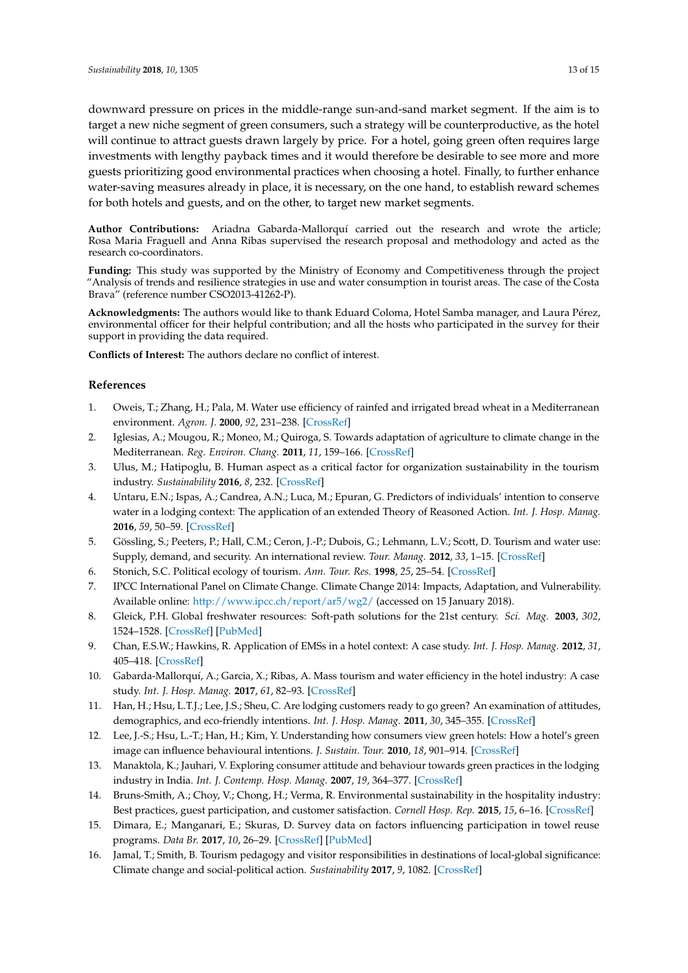downward pressure on prices in the middle-range sun-and-sand market segment. If the aim is to target a new niche segment of green consumers, such a strategy will be counterproductive, as the hotel will continue to attract guests drawn largely by price. For a hotel, going green often requires large investments with lengthy payback times and it would therefore be desirable to see more and more guests prioritizing good environmental practices when choosing a hotel. Finally, to further enhance water-saving measures already in place, it is necessary, on the one hand, to establish reward schemes for both hotels and guests, and on the other, to target new market segments.

**Author Contributions:** Ariadna Gabarda-Mallorquí carried out the research and wrote the article; Rosa Maria Fraguell and Anna Ribas supervised the research proposal and methodology and acted as the research co-coordinators.

**Funding:** This study was supported by the Ministry of Economy and Competitiveness through the project "Analysis of trends and resilience strategies in use and water consumption in tourist areas. The case of the Costa Brava" (reference number CSO2013-41262-P).

**Acknowledgments:** The authors would like to thank Eduard Coloma, Hotel Samba manager, and Laura Pérez, environmental officer for their helpful contribution; and all the hosts who participated in the survey for their support in providing the data required.

**Conflicts of Interest:** The authors declare no conflict of interest.

#### **References**

- <span id="page-12-0"></span>1. Oweis, T.; Zhang, H.; Pala, M. Water use efficiency of rainfed and irrigated bread wheat in a Mediterranean environment. *Agron. J.* **2000**, *92*, 231–238. [\[CrossRef\]](http://dx.doi.org/10.2134/agronj2000.922231x)
- <span id="page-12-1"></span>2. Iglesias, A.; Mougou, R.; Moneo, M.; Quiroga, S. Towards adaptation of agriculture to climate change in the Mediterranean. *Reg. Environ. Chang.* **2011**, *11*, 159–166. [\[CrossRef\]](http://dx.doi.org/10.1007/s10113-010-0187-4)
- <span id="page-12-2"></span>3. Ulus, M.; Hatipoglu, B. Human aspect as a critical factor for organization sustainability in the tourism industry. *Sustainability* **2016**, *8*, 232. [\[CrossRef\]](http://dx.doi.org/10.3390/su8030232)
- <span id="page-12-3"></span>4. Untaru, E.N.; Ispas, A.; Candrea, A.N.; Luca, M.; Epuran, G. Predictors of individuals' intention to conserve water in a lodging context: The application of an extended Theory of Reasoned Action. *Int. J. Hosp. Manag.* **2016**, *59*, 50–59. [\[CrossRef\]](http://dx.doi.org/10.1016/j.ijhm.2016.09.001)
- <span id="page-12-4"></span>5. Gössling, S.; Peeters, P.; Hall, C.M.; Ceron, J.-P.; Dubois, G.; Lehmann, L.V.; Scott, D. Tourism and water use: Supply, demand, and security. An international review. *Tour. Manag.* **2012**, *33*, 1–15. [\[CrossRef\]](http://dx.doi.org/10.1016/j.tourman.2011.03.015)
- <span id="page-12-5"></span>6. Stonich, S.C. Political ecology of tourism. *Ann. Tour. Res.* **1998**, *25*, 25–54. [\[CrossRef\]](http://dx.doi.org/10.1016/S0160-7383(97)00037-6)
- <span id="page-12-6"></span>7. IPCC International Panel on Climate Change. Climate Change 2014: Impacts, Adaptation, and Vulnerability. Available online: <http://www.ipcc.ch/report/ar5/wg2/> (accessed on 15 January 2018).
- <span id="page-12-7"></span>8. Gleick, P.H. Global freshwater resources: Soft-path solutions for the 21st century. *Sci. Mag.* **2003**, *302*, 1524–1528. [\[CrossRef\]](http://dx.doi.org/10.1126/science.1089967) [\[PubMed\]](http://www.ncbi.nlm.nih.gov/pubmed/14645837)
- <span id="page-12-8"></span>9. Chan, E.S.W.; Hawkins, R. Application of EMSs in a hotel context: A case study. *Int. J. Hosp. Manag.* **2012**, *31*, 405–418. [\[CrossRef\]](http://dx.doi.org/10.1016/j.ijhm.2011.06.016)
- <span id="page-12-9"></span>10. Gabarda-Mallorquí, A.; Garcia, X.; Ribas, A. Mass tourism and water efficiency in the hotel industry: A case study. *Int. J. Hosp. Manag.* **2017**, *61*, 82–93. [\[CrossRef\]](http://dx.doi.org/10.1016/j.ijhm.2016.11.006)
- <span id="page-12-10"></span>11. Han, H.; Hsu, L.T.J.; Lee, J.S.; Sheu, C. Are lodging customers ready to go green? An examination of attitudes, demographics, and eco-friendly intentions. *Int. J. Hosp. Manag.* **2011**, *30*, 345–355. [\[CrossRef\]](http://dx.doi.org/10.1016/j.ijhm.2010.07.008)
- <span id="page-12-11"></span>12. Lee, J.-S.; Hsu, L.-T.; Han, H.; Kim, Y. Understanding how consumers view green hotels: How a hotel's green image can influence behavioural intentions. *J. Sustain. Tour.* **2010**, *18*, 901–914. [\[CrossRef\]](http://dx.doi.org/10.1080/09669581003777747)
- <span id="page-12-12"></span>13. Manaktola, K.; Jauhari, V. Exploring consumer attitude and behaviour towards green practices in the lodging industry in India. *Int. J. Contemp. Hosp. Manag.* **2007**, *19*, 364–377. [\[CrossRef\]](http://dx.doi.org/10.1108/09596110710757534)
- <span id="page-12-13"></span>14. Bruns-Smith, A.; Choy, V.; Chong, H.; Verma, R. Environmental sustainability in the hospitality industry: Best practices, guest participation, and customer satisfaction. *Cornell Hosp. Rep.* **2015**, *15*, 6–16. [\[CrossRef\]](http://dx.doi.org/10.1017/CBO9781107415324.004)
- 15. Dimara, E.; Manganari, E.; Skuras, D. Survey data on factors influencing participation in towel reuse programs. *Data Br.* **2017**, *10*, 26–29. [\[CrossRef\]](http://dx.doi.org/10.1016/j.dib.2016.11.068) [\[PubMed\]](http://www.ncbi.nlm.nih.gov/pubmed/27942562)
- <span id="page-12-14"></span>16. Jamal, T.; Smith, B. Tourism pedagogy and visitor responsibilities in destinations of local-global significance: Climate change and social-political action. *Sustainability* **2017**, *9*, 1082. [\[CrossRef\]](http://dx.doi.org/10.3390/su9061082)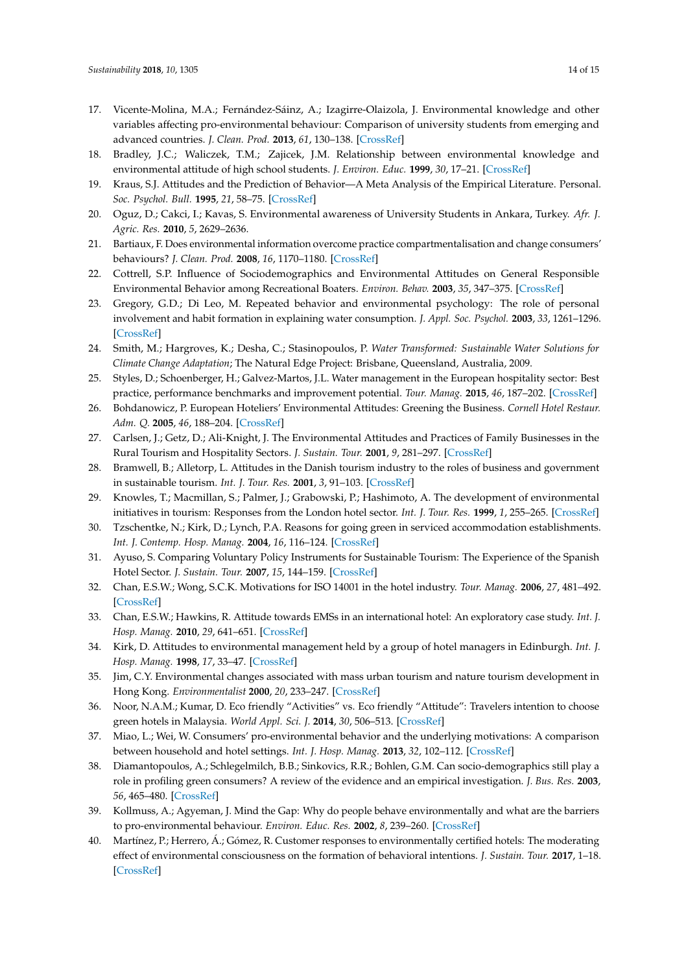- <span id="page-13-0"></span>17. Vicente-Molina, M.A.; Fernández-Sáinz, A.; Izagirre-Olaizola, J. Environmental knowledge and other variables affecting pro-environmental behaviour: Comparison of university students from emerging and advanced countries. *J. Clean. Prod.* **2013**, *61*, 130–138. [\[CrossRef\]](http://dx.doi.org/10.1016/j.jclepro.2013.05.015)
- <span id="page-13-1"></span>18. Bradley, J.C.; Waliczek, T.M.; Zajicek, J.M. Relationship between environmental knowledge and environmental attitude of high school students. *J. Environ. Educ.* **1999**, *30*, 17–21. [\[CrossRef\]](http://dx.doi.org/10.1080/00958969909601873)
- 19. Kraus, S.J. Attitudes and the Prediction of Behavior—A Meta Analysis of the Empirical Literature. Personal. *Soc. Psychol. Bull.* **1995**, *21*, 58–75. [\[CrossRef\]](http://dx.doi.org/10.1177/0146167295211007)
- <span id="page-13-2"></span>20. Oguz, D.; Cakci, I.; Kavas, S. Environmental awareness of University Students in Ankara, Turkey. *Afr. J. Agric. Res.* **2010**, *5*, 2629–2636.
- <span id="page-13-3"></span>21. Bartiaux, F. Does environmental information overcome practice compartmentalisation and change consumers' behaviours? *J. Clean. Prod.* **2008**, *16*, 1170–1180. [\[CrossRef\]](http://dx.doi.org/10.1016/j.jclepro.2007.08.013)
- <span id="page-13-4"></span>22. Cottrell, S.P. Influence of Sociodemographics and Environmental Attitudes on General Responsible Environmental Behavior among Recreational Boaters. *Environ. Behav.* **2003**, *35*, 347–375. [\[CrossRef\]](http://dx.doi.org/10.1177/0013916503035003003)
- <span id="page-13-5"></span>23. Gregory, G.D.; Di Leo, M. Repeated behavior and environmental psychology: The role of personal involvement and habit formation in explaining water consumption. *J. Appl. Soc. Psychol.* **2003**, *33*, 1261–1296. [\[CrossRef\]](http://dx.doi.org/10.1111/j.1559-1816.2003.tb01949.x)
- <span id="page-13-6"></span>24. Smith, M.; Hargroves, K.; Desha, C.; Stasinopoulos, P. *Water Transformed: Sustainable Water Solutions for Climate Change Adaptation*; The Natural Edge Project: Brisbane, Queensland, Australia, 2009.
- <span id="page-13-7"></span>25. Styles, D.; Schoenberger, H.; Galvez-Martos, J.L. Water management in the European hospitality sector: Best practice, performance benchmarks and improvement potential. *Tour. Manag.* **2015**, *46*, 187–202. [\[CrossRef\]](http://dx.doi.org/10.1016/j.tourman.2014.07.005)
- <span id="page-13-8"></span>26. Bohdanowicz, P. European Hoteliers' Environmental Attitudes: Greening the Business. *Cornell Hotel Restaur. Adm. Q.* **2005**, *46*, 188–204. [\[CrossRef\]](http://dx.doi.org/10.1177/0010880404273891)
- <span id="page-13-9"></span>27. Carlsen, J.; Getz, D.; Ali-Knight, J. The Environmental Attitudes and Practices of Family Businesses in the Rural Tourism and Hospitality Sectors. *J. Sustain. Tour.* **2001**, *9*, 281–297. [\[CrossRef\]](http://dx.doi.org/10.1080/09669580108667403)
- <span id="page-13-10"></span>28. Bramwell, B.; Alletorp, L. Attitudes in the Danish tourism industry to the roles of business and government in sustainable tourism. *Int. J. Tour. Res.* **2001**, *3*, 91–103. [\[CrossRef\]](http://dx.doi.org/10.1002/jtr.242)
- 29. Knowles, T.; Macmillan, S.; Palmer, J.; Grabowski, P.; Hashimoto, A. The development of environmental initiatives in tourism: Responses from the London hotel sector. *Int. J. Tour. Res.* **1999**, *1*, 255–265. [\[CrossRef\]](http://dx.doi.org/10.1002/(SICI)1522-1970(199907/08)1:4<255::AID-JTR170>3.0.CO;2-8)
- <span id="page-13-11"></span>30. Tzschentke, N.; Kirk, D.; Lynch, P.A. Reasons for going green in serviced accommodation establishments. *Int. J. Contemp. Hosp. Manag.* **2004**, *16*, 116–124. [\[CrossRef\]](http://dx.doi.org/10.1108/09596110410520007)
- <span id="page-13-12"></span>31. Ayuso, S. Comparing Voluntary Policy Instruments for Sustainable Tourism: The Experience of the Spanish Hotel Sector. *J. Sustain. Tour.* **2007**, *15*, 144–159. [\[CrossRef\]](http://dx.doi.org/10.2167/jost617.0)
- <span id="page-13-13"></span>32. Chan, E.S.W.; Wong, S.C.K. Motivations for ISO 14001 in the hotel industry. *Tour. Manag.* **2006**, *27*, 481–492. [\[CrossRef\]](http://dx.doi.org/10.1016/j.tourman.2004.10.007)
- <span id="page-13-14"></span>33. Chan, E.S.W.; Hawkins, R. Attitude towards EMSs in an international hotel: An exploratory case study. *Int. J. Hosp. Manag.* **2010**, *29*, 641–651. [\[CrossRef\]](http://dx.doi.org/10.1016/j.ijhm.2009.12.002)
- <span id="page-13-15"></span>34. Kirk, D. Attitudes to environmental management held by a group of hotel managers in Edinburgh. *Int. J. Hosp. Manag.* **1998**, *17*, 33–47. [\[CrossRef\]](http://dx.doi.org/10.1016/S0278-4319(98)00005-X)
- <span id="page-13-16"></span>35. Jim, C.Y. Environmental changes associated with mass urban tourism and nature tourism development in Hong Kong. *Environmentalist* **2000**, *20*, 233–247. [\[CrossRef\]](http://dx.doi.org/10.1023/A:1006708031927)
- <span id="page-13-17"></span>36. Noor, N.A.M.; Kumar, D. Eco friendly "Activities" vs. Eco friendly "Attitude": Travelers intention to choose green hotels in Malaysia. *World Appl. Sci. J.* **2014**, *30*, 506–513. [\[CrossRef\]](http://dx.doi.org/10.5829/idosi.wasj.2014.30.04.14062)
- <span id="page-13-18"></span>37. Miao, L.; Wei, W. Consumers' pro-environmental behavior and the underlying motivations: A comparison between household and hotel settings. *Int. J. Hosp. Manag.* **2013**, *32*, 102–112. [\[CrossRef\]](http://dx.doi.org/10.1016/j.ijhm.2012.04.008)
- <span id="page-13-19"></span>38. Diamantopoulos, A.; Schlegelmilch, B.B.; Sinkovics, R.R.; Bohlen, G.M. Can socio-demographics still play a role in profiling green consumers? A review of the evidence and an empirical investigation. *J. Bus. Res.* **2003**, *56*, 465–480. [\[CrossRef\]](http://dx.doi.org/10.1016/S0148-2963(01)00241-7)
- <span id="page-13-20"></span>39. Kollmuss, A.; Agyeman, J. Mind the Gap: Why do people behave environmentally and what are the barriers to pro-environmental behaviour. *Environ. Educ. Res.* **2002**, *8*, 239–260. [\[CrossRef\]](http://dx.doi.org/10.1080/13504620220145401)
- <span id="page-13-21"></span>40. Martínez, P.; Herrero, Á.; Gómez, R. Customer responses to environmentally certified hotels: The moderating effect of environmental consciousness on the formation of behavioral intentions. *J. Sustain. Tour.* **2017**, 1–18. [\[CrossRef\]](http://dx.doi.org/10.1080/09669582.2017.1349775)